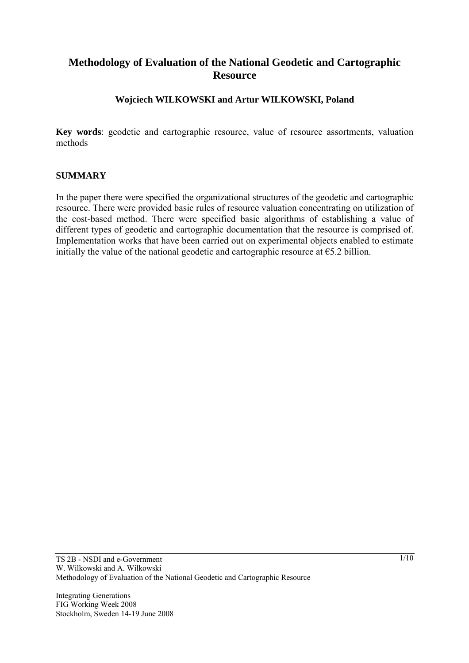# **Methodology of Evaluation of the National Geodetic and Cartographic Resource**

### **Wojciech WILKOWSKI and Artur WILKOWSKI, Poland**

**Key words**: geodetic and cartographic resource, value of resource assortments, valuation methods

#### **SUMMARY**

In the paper there were specified the organizational structures of the geodetic and cartographic resource. There were provided basic rules of resource valuation concentrating on utilization of the cost-based method. There were specified basic algorithms of establishing a value of different types of geodetic and cartographic documentation that the resource is comprised of. Implementation works that have been carried out on experimental objects enabled to estimate initially the value of the national geodetic and cartographic resource at  $\epsilon$ 5.2 billion.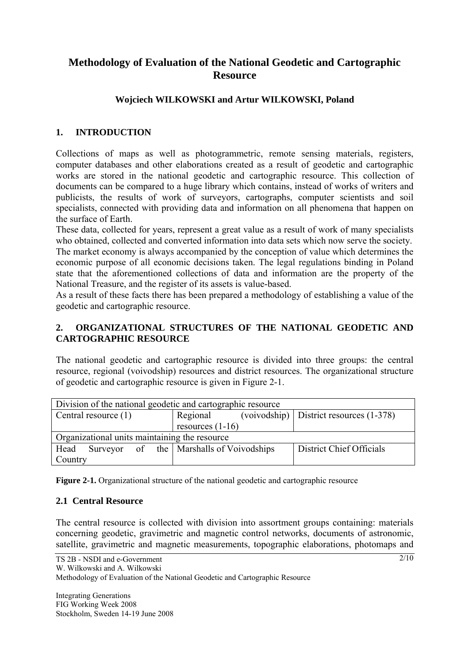# **Methodology of Evaluation of the National Geodetic and Cartographic Resource**

## **Wojciech WILKOWSKI and Artur WILKOWSKI, Poland**

### **1. INTRODUCTION**

Collections of maps as well as photogrammetric, remote sensing materials, registers, computer databases and other elaborations created as a result of geodetic and cartographic works are stored in the national geodetic and cartographic resource. This collection of documents can be compared to a huge library which contains, instead of works of writers and publicists, the results of work of surveyors, cartographs, computer scientists and soil specialists, connected with providing data and information on all phenomena that happen on the surface of Earth.

These data, collected for years, represent a great value as a result of work of many specialists who obtained, collected and converted information into data sets which now serve the society.

The market economy is always accompanied by the conception of value which determines the economic purpose of all economic decisions taken. The legal regulations binding in Poland state that the aforementioned collections of data and information are the property of the National Treasure, and the register of its assets is value-based.

As a result of these facts there has been prepared a methodology of establishing a value of the geodetic and cartographic resource.

### **2. ORGANIZATIONAL STRUCTURES OF THE NATIONAL GEODETIC AND CARTOGRAPHIC RESOURCE**

The national geodetic and cartographic resource is divided into three groups: the central resource, regional (voivodship) resources and district resources. The organizational structure of geodetic and cartographic resource is given in Figure 2-1.

| Division of the national geodetic and cartographic resource |                                   |                                             |
|-------------------------------------------------------------|-----------------------------------|---------------------------------------------|
| Central resource (1)                                        | Regional                          | $(voivodship)$ District resources $(1-378)$ |
|                                                             | resources $(1-16)$                |                                             |
| Organizational units maintaining the resource               |                                   |                                             |
| Head<br>Surveyor                                            | of the   Marshalls of Voivodships | District Chief Officials                    |
| Country                                                     |                                   |                                             |

**Figure 2-1.** Organizational structure of the national geodetic and cartographic resource

### **2.1 Central Resource**

The central resource is collected with division into assortment groups containing: materials concerning geodetic, gravimetric and magnetic control networks, documents of astronomic, satellite, gravimetric and magnetic measurements, topographic elaborations, photomaps and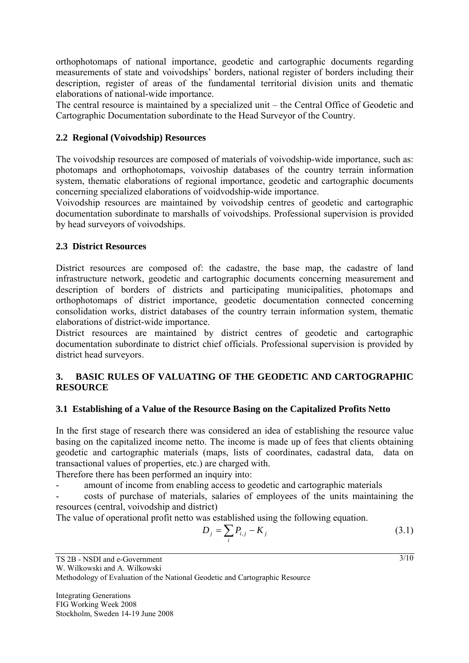orthophotomaps of national importance, geodetic and cartographic documents regarding measurements of state and voivodships' borders, national register of borders including their description, register of areas of the fundamental territorial division units and thematic elaborations of national-wide importance.

The central resource is maintained by a specialized unit – the Central Office of Geodetic and Cartographic Documentation subordinate to the Head Surveyor of the Country.

### **2.2 Regional (Voivodship) Resources**

The voivodship resources are composed of materials of voivodship-wide importance, such as: photomaps and orthophotomaps, voivoship databases of the country terrain information system, thematic elaborations of regional importance, geodetic and cartographic documents concerning specialized elaborations of voidvodship-wide importance.

Voivodship resources are maintained by voivodship centres of geodetic and cartographic documentation subordinate to marshalls of voivodships. Professional supervision is provided by head surveyors of voivodships.

### **2.3 District Resources**

District resources are composed of: the cadastre, the base map, the cadastre of land infrastructure network, geodetic and cartographic documents concerning measurement and description of borders of districts and participating municipalities, photomaps and orthophotomaps of district importance, geodetic documentation connected concerning consolidation works, district databases of the country terrain information system, thematic elaborations of district-wide importance.

District resources are maintained by district centres of geodetic and cartographic documentation subordinate to district chief officials. Professional supervision is provided by district head surveyors.

### **3. BASIC RULES OF VALUATING OF THE GEODETIC AND CARTOGRAPHIC RESOURCE**

#### **3.1 Establishing of a Value of the Resource Basing on the Capitalized Profits Netto**

In the first stage of research there was considered an idea of establishing the resource value basing on the capitalized income netto. The income is made up of fees that clients obtaining geodetic and cartographic materials (maps, lists of coordinates, cadastral data, data on transactional values of properties, etc.) are charged with.

Therefore there has been performed an inquiry into:

amount of income from enabling access to geodetic and cartographic materials

- costs of purchase of materials, salaries of employees of the units maintaining the resources (central, voivodship and district)

The value of operational profit netto was established using the following equation.

$$
D_j = \sum_i P_{i,j} - K_j
$$
 (3.1)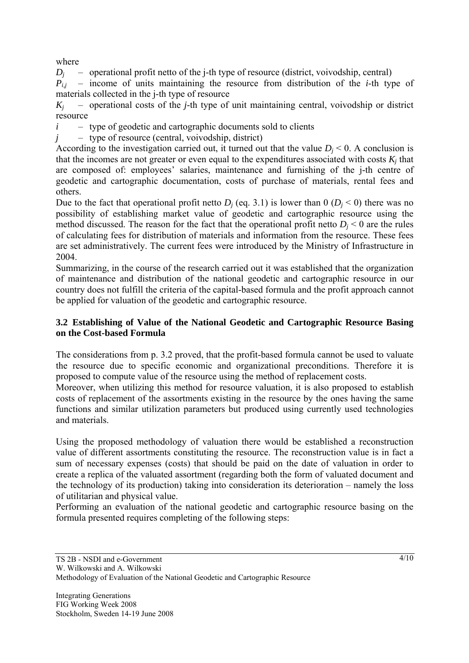where

 $D_i$  – operational profit netto of the j-th type of resource (district, voivodship, central)

 $P_{ij}$  – income of units maintaining the resource from distribution of the *i*-th type of materials collected in the j-th type of resource

 $K_i$  – operational costs of the *j*-th type of unit maintaining central, voivodship or district resource

 $i$  – type of geodetic and cartographic documents sold to clients

*j* – type of resource (central, voivodship, district)

According to the investigation carried out, it turned out that the value  $D_i < 0$ . A conclusion is that the incomes are not greater or even equal to the expenditures associated with costs  $K_i$  that are composed of: employees' salaries, maintenance and furnishing of the j-th centre of geodetic and cartographic documentation, costs of purchase of materials, rental fees and others.

Due to the fact that operational profit netto  $D_i$  (eq. 3.1) is lower than 0 ( $D_i$  < 0) there was no possibility of establishing market value of geodetic and cartographic resource using the method discussed. The reason for the fact that the operational profit netto  $D_i < 0$  are the rules of calculating fees for distribution of materials and information from the resource. These fees are set administratively. The current fees were introduced by the Ministry of Infrastructure in 2004.

Summarizing, in the course of the research carried out it was established that the organization of maintenance and distribution of the national geodetic and cartographic resource in our country does not fulfill the criteria of the capital-based formula and the profit approach cannot be applied for valuation of the geodetic and cartographic resource.

### **3.2 Establishing of Value of the National Geodetic and Cartographic Resource Basing on the Cost-based Formula**

The considerations from p. 3.2 proved, that the profit-based formula cannot be used to valuate the resource due to specific economic and organizational preconditions. Therefore it is proposed to compute value of the resource using the method of replacement costs.

Moreover, when utilizing this method for resource valuation, it is also proposed to establish costs of replacement of the assortments existing in the resource by the ones having the same functions and similar utilization parameters but produced using currently used technologies and materials.

Using the proposed methodology of valuation there would be established a reconstruction value of different assortments constituting the resource. The reconstruction value is in fact a sum of necessary expenses (costs) that should be paid on the date of valuation in order to create a replica of the valuated assortment (regarding both the form of valuated document and the technology of its production) taking into consideration its deterioration – namely the loss of utilitarian and physical value.

Performing an evaluation of the national geodetic and cartographic resource basing on the formula presented requires completing of the following steps: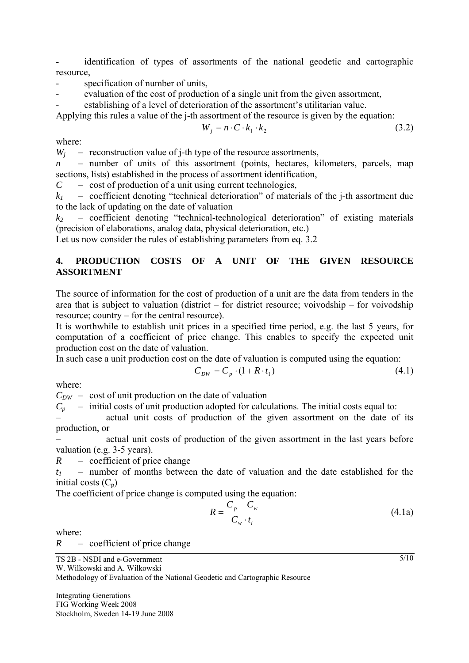identification of types of assortments of the national geodetic and cartographic resource,

- specification of number of units,
- evaluation of the cost of production of a single unit from the given assortment,
- establishing of a level of deterioration of the assortment's utilitarian value.

Applying this rules a value of the j-th assortment of the resource is given by the equation:

$$
W_j = n \cdot C \cdot k_1 \cdot k_2 \tag{3.2}
$$

where:

 $W_i$  – reconstruction value of j-th type of the resource assortments,

*n* – number of units of this assortment (points, hectares, kilometers, parcels, map sections, lists) established in the process of assortment identification,

*C* – cost of production of a unit using current technologies,

 $k_1$  – coefficient denoting "technical deterioration" of materials of the *j*-th assortment due to the lack of updating on the date of valuation

 $k_2$  – coefficient denoting "technical-technological deterioration" of existing materials (precision of elaborations, analog data, physical deterioration, etc.)

Let us now consider the rules of establishing parameters from eq. 3.2

### **4. PRODUCTION COSTS OF A UNIT OF THE GIVEN RESOURCE ASSORTMENT**

The source of information for the cost of production of a unit are the data from tenders in the area that is subject to valuation (district – for district resource; voivodship – for voivodship resource; country – for the central resource).

It is worthwhile to establish unit prices in a specified time period, e.g. the last 5 years, for computation of a coefficient of price change. This enables to specify the expected unit production cost on the date of valuation.

In such case a unit production cost on the date of valuation is computed using the equation:

$$
C_{DW} = C_p \cdot (1 + R \cdot t_1) \tag{4.1}
$$

where:

 $C_{DW}$  – cost of unit production on the date of valuation

 $C_p$  – initial costs of unit production adopted for calculations. The initial costs equal to:

– actual unit costs of production of the given assortment on the date of its production, or

– actual unit costs of production of the given assortment in the last years before valuation (e.g. 3-5 years).

*R* – coefficient of price change

*t1* – number of months between the date of valuation and the date established for the initial costs  $(C_n)$ 

The coefficient of price change is computed using the equation:

$$
R = \frac{C_p - C_w}{C_w \cdot t_i} \tag{4.1a}
$$

where:

*R* – coefficient of price change

$$
TS 2B - NSDI and e-Government
$$

W. Wilkowski and A. Wilkowski

Methodology of Evaluation of the National Geodetic and Cartographic Resource

Integrating Generations FIG Working Week 2008 Stockholm, Sweden 14-19 June 2008  $\frac{5}{10}$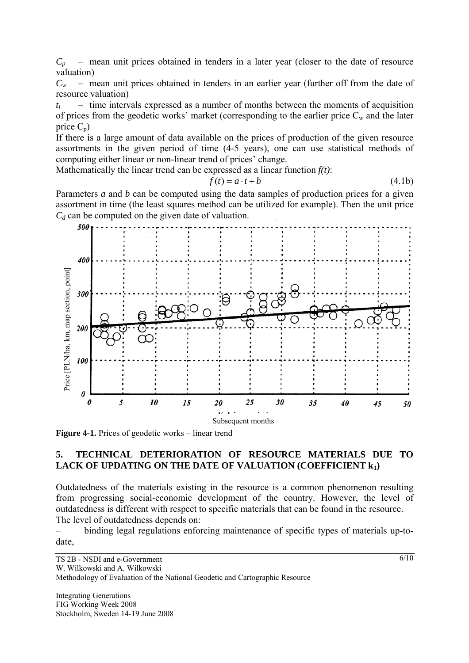$C_p$  – mean unit prices obtained in tenders in a later year (closer to the date of resource valuation)

*Cw* – mean unit prices obtained in tenders in an earlier year (further off from the date of resource valuation)

 $t_i$  – time intervals expressed as a number of months between the moments of acquisition of prices from the geodetic works' market (corresponding to the earlier price  $C_w$  and the later price  $C_p$ )

If there is a large amount of data available on the prices of production of the given resource assortments in the given period of time (4-5 years), one can use statistical methods of computing either linear or non-linear trend of prices' change.

Mathematically the linear trend can be expressed as a linear function *f(t)*:

$$
f(t) = a \cdot t + b \tag{4.1b}
$$

Parameters *a* and *b* can be computed using the data samples of production prices for a given assortment in time (the least squares method can be utilized for example). Then the unit price  $C_d$  can be computed on the given date of valuation.



**Figure 4-1.** Prices of geodetic works – linear trend

#### **5. TECHNICAL DETERIORATION OF RESOURCE MATERIALS DUE TO**  LACK OF UPDATING ON THE DATE OF VALUATION (COEFFICIENT k<sub>1</sub>)

Outdatedness of the materials existing in the resource is a common phenomenon resulting from progressing social-economic development of the country. However, the level of outdatedness is different with respect to specific materials that can be found in the resource. The level of outdatedness depends on:

– binding legal regulations enforcing maintenance of specific types of materials up-todate,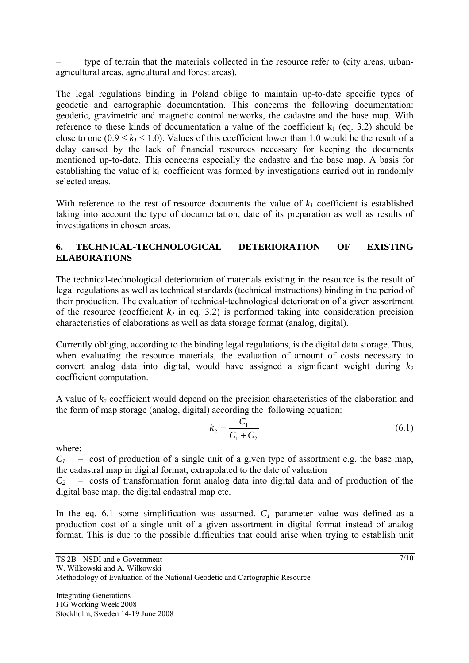– type of terrain that the materials collected in the resource refer to (city areas, urbanagricultural areas, agricultural and forest areas).

The legal regulations binding in Poland oblige to maintain up-to-date specific types of geodetic and cartographic documentation. This concerns the following documentation: geodetic, gravimetric and magnetic control networks, the cadastre and the base map. With reference to these kinds of documentation a value of the coefficient  $k_1$  (eq. 3.2) should be close to one ( $0.9 \le k_1 \le 1.0$ ). Values of this coefficient lower than 1.0 would be the result of a delay caused by the lack of financial resources necessary for keeping the documents mentioned up-to-date. This concerns especially the cadastre and the base map. A basis for establishing the value of  $k_1$  coefficient was formed by investigations carried out in randomly selected areas.

With reference to the rest of resource documents the value of  $k_l$  coefficient is established taking into account the type of documentation, date of its preparation as well as results of investigations in chosen areas.

### **6. TECHNICAL-TECHNOLOGICAL DETERIORATION OF EXISTING ELABORATIONS**

The technical-technological deterioration of materials existing in the resource is the result of legal regulations as well as technical standards (technical instructions) binding in the period of their production. The evaluation of technical-technological deterioration of a given assortment of the resource (coefficient  $k_2$  in eq. 3.2) is performed taking into consideration precision characteristics of elaborations as well as data storage format (analog, digital).

Currently obliging, according to the binding legal regulations, is the digital data storage. Thus, when evaluating the resource materials, the evaluation of amount of costs necessary to convert analog data into digital, would have assigned a significant weight during  $k_2$ coefficient computation.

A value of  $k_2$  coefficient would depend on the precision characteristics of the elaboration and the form of map storage (analog, digital) according the following equation:

$$
k_2 = \frac{C_1}{C_1 + C_2} \tag{6.1}
$$

where:

 $C_1$  – cost of production of a single unit of a given type of assortment e.g. the base map, the cadastral map in digital format, extrapolated to the date of valuation

 $C_2$  – costs of transformation form analog data into digital data and of production of the digital base map, the digital cadastral map etc.

In the eq. 6.1 some simplification was assumed.  $C_1$  parameter value was defined as a production cost of a single unit of a given assortment in digital format instead of analog format. This is due to the possible difficulties that could arise when trying to establish unit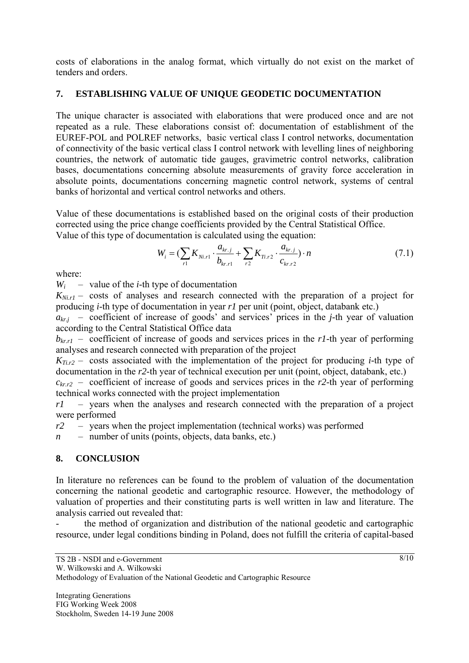costs of elaborations in the analog format, which virtually do not exist on the market of tenders and orders.

## **7. ESTABLISHING VALUE OF UNIQUE GEODETIC DOCUMENTATION**

The unique character is associated with elaborations that were produced once and are not repeated as a rule. These elaborations consist of: documentation of establishment of the EUREF-POL and POLREF networks, basic vertical class I control networks, documentation of connectivity of the basic vertical class I control network with levelling lines of neighboring countries, the network of automatic tide gauges, gravimetric control networks, calibration bases, documentations concerning absolute measurements of gravity force acceleration in absolute points, documentations concerning magnetic control network, systems of central banks of horizontal and vertical control networks and others.

Value of these documentations is established based on the original costs of their production corrected using the price change coefficients provided by the Central Statistical Office. Value of this type of documentation is calculated using the equation:

$$
W_i = \left(\sum_{r1} K_{Ni,r1} \cdot \frac{a_{kr,j}}{b_{kr,r1}} + \sum_{r2} K_{Ti,r2} \cdot \frac{a_{kr,j}}{c_{kr,r2}}\right) \cdot n \tag{7.1}
$$

where:

*Wi* – value of the *i*-th type of documentation

 $K_{Nirl}$  – costs of analyses and research connected with the preparation of a project for producing *i*-th type of documentation in year *r1* per unit (point, object, databank etc.)

 $a_{kri}$  – coefficient of increase of goods' and services' prices in the *j*-th year of valuation according to the Central Statistical Office data

 $b_{krl}$  – coefficient of increase of goods and services prices in the *r1*-th year of performing analyses and research connected with preparation of the project

 $K_{Ti, r2}$  – costs associated with the implementation of the project for producing *i*-th type of documentation in the *r2*-th year of technical execution per unit (point, object, databank, etc.)

 $c_{k,r2}$  – coefficient of increase of goods and services prices in the *r*2-th year of performing technical works connected with the project implementation

*r1* – years when the analyses and research connected with the preparation of a project were performed

*r2* – years when the project implementation (technical works) was performed

*n* – number of units (points, objects, data banks, etc.)

### **8. CONCLUSION**

In literature no references can be found to the problem of valuation of the documentation concerning the national geodetic and cartographic resource. However, the methodology of valuation of properties and their constituting parts is well written in law and literature. The analysis carried out revealed that:

the method of organization and distribution of the national geodetic and cartographic resource, under legal conditions binding in Poland, does not fulfill the criteria of capital-based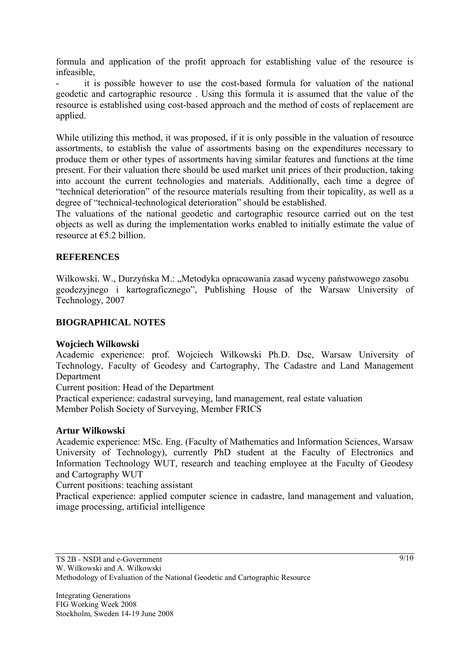formula and application of the profit approach for establishing value of the resource is infeasible,

it is possible however to use the cost-based formula for valuation of the national geodetic and cartographic resource . Using this formula it is assumed that the value of the resource is established using cost-based approach and the method of costs of replacement are applied.

While utilizing this method, it was proposed, if it is only possible in the valuation of resource assortments, to establish the value of assortments basing on the expenditures necessary to produce them or other types of assortments having similar features and functions at the time present. For their valuation there should be used market unit prices of their production, taking into account the current technologies and materials. Additionally, each time a degree of "technical deterioration" of the resource materials resulting from their topicality, as well as a degree of "technical-technological deterioration" should be established.

The valuations of the national geodetic and cartographic resource carried out on the test objects as well as during the implementation works enabled to initially estimate the value of resource at  $65.2$  billion.

### **REFERENCES**

Wilkowski. W., Durzyńska M.: "Metodyka opracowania zasad wyceny państwowego zasobu geodezyjnego i kartograficznego", Publishing House of the Warsaw University of Technology, 2007

### **BIOGRAPHICAL NOTES**

### **Wojciech Wilkowski**

Academic experience: prof. Wojciech Wilkowski Ph.D. Dsc, Warsaw University of Technology, Faculty of Geodesy and Cartography, The Cadastre and Land Management Department

Current position: Head of the Department

Practical experience: cadastral surveying, land management, real estate valuation Member Polish Society of Surveying, Member FRICS

### **Artur Wilkowski**

Academic experience: MSc. Eng. (Faculty of Mathematics and Information Sciences, Warsaw University of Technology), currently PhD student at the Faculty of Electronics and Information Technology WUT, research and teaching employee at the Faculty of Geodesy and Cartography WUT

Current positions: teaching assistant

Practical experience: applied computer science in cadastre, land management and valuation, image processing, artificial intelligence